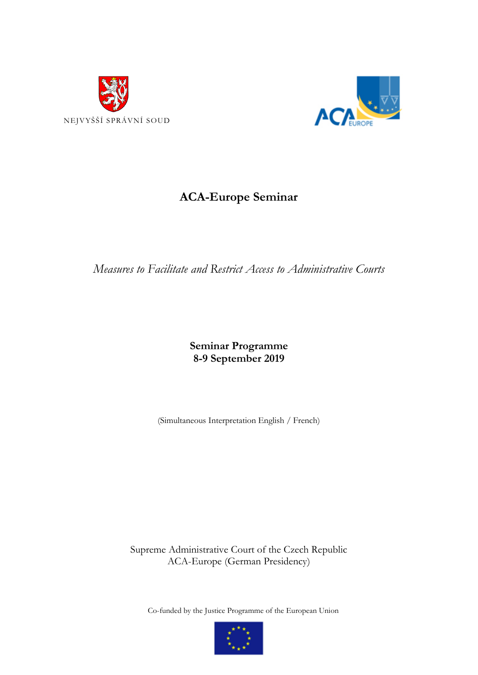



# **ACA-Europe Seminar**

# *Measures to Facilitate and Restrict Access to Administrative Courts*

#### **Seminar Programme 8-9 September 2019**

(Simultaneous Interpretation English / French)

Supreme Administrative Court of the Czech Republic ACA-Europe (German Presidency)

Co-funded by the Justice Programme of the European Union

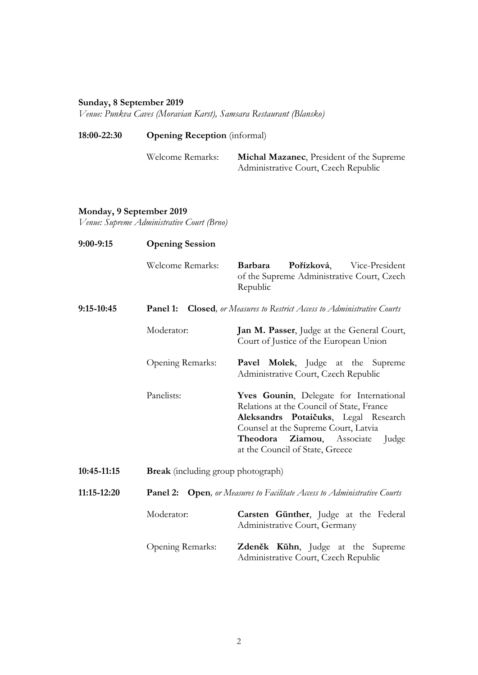## **Sunday, 8 September 2019**

*Venue: Punkva Caves (Moravian Karst), Samsara Restaurant (Blansko)*

| 18:00-22:30 | <b>Opening Reception</b> (informal) |                                          |
|-------------|-------------------------------------|------------------------------------------|
|             | Welcome Remarks:                    | Michal Mazanec, President of the Supreme |
|             |                                     | Administrative Court, Czech Republic     |

## **Monday, 9 September 2019**

*Venue: Supreme Administrative Court (Brno)*

| $9:00-9:15$ | <b>Opening Session</b>                                                              |                                                                                                                                                                                                                                                   |  |
|-------------|-------------------------------------------------------------------------------------|---------------------------------------------------------------------------------------------------------------------------------------------------------------------------------------------------------------------------------------------------|--|
|             | <b>Welcome Remarks:</b>                                                             | Pořízková,<br><b>Barbara</b><br>Vice-President<br>of the Supreme Administrative Court, Czech<br>Republic                                                                                                                                          |  |
| 9:15-10:45  | <b>Closed</b> , or Measures to Restrict Access to Administrative Courts<br>Panel 1: |                                                                                                                                                                                                                                                   |  |
|             | Moderator:                                                                          | Jan M. Passer, Judge at the General Court,<br>Court of Justice of the European Union                                                                                                                                                              |  |
|             | Opening Remarks:                                                                    | <b>Pavel Molek</b> , Judge at the Supreme<br>Administrative Court, Czech Republic                                                                                                                                                                 |  |
|             | Panelists:                                                                          | Yves Gounin, Delegate for International<br>Relations at the Council of State, France<br>Aleksandrs Potaičuks, Legal Research<br>Counsel at the Supreme Court, Latvia<br>Theodora<br>Ziamou, Associate<br>Judge<br>at the Council of State, Greece |  |
| 10:45-11:15 | <b>Break</b> (including group photograph)                                           |                                                                                                                                                                                                                                                   |  |
| 11:15-12:20 | Panel 2:                                                                            | <b>Open</b> , or Measures to Facilitate Access to Administrative Courts                                                                                                                                                                           |  |
|             | Moderator:                                                                          | Carsten Günther, Judge at the Federal<br>Administrative Court, Germany                                                                                                                                                                            |  |
|             | Opening Remarks:                                                                    | Zdeněk Kühn, Judge at the Supreme<br>Administrative Court, Czech Republic                                                                                                                                                                         |  |